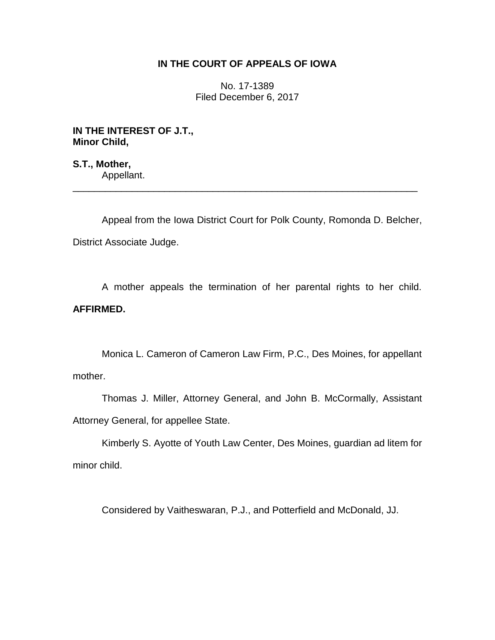## **IN THE COURT OF APPEALS OF IOWA**

No. 17-1389 Filed December 6, 2017

**IN THE INTEREST OF J.T., Minor Child,**

**S.T., Mother,** Appellant. \_\_\_\_\_\_\_\_\_\_\_\_\_\_\_\_\_\_\_\_\_\_\_\_\_\_\_\_\_\_\_\_\_\_\_\_\_\_\_\_\_\_\_\_\_\_\_\_\_\_\_\_\_\_\_\_\_\_\_\_\_\_\_\_

Appeal from the Iowa District Court for Polk County, Romonda D. Belcher, District Associate Judge.

A mother appeals the termination of her parental rights to her child. **AFFIRMED.**

Monica L. Cameron of Cameron Law Firm, P.C., Des Moines, for appellant mother.

Thomas J. Miller, Attorney General, and John B. McCormally, Assistant Attorney General, for appellee State.

Kimberly S. Ayotte of Youth Law Center, Des Moines, guardian ad litem for minor child.

Considered by Vaitheswaran, P.J., and Potterfield and McDonald, JJ.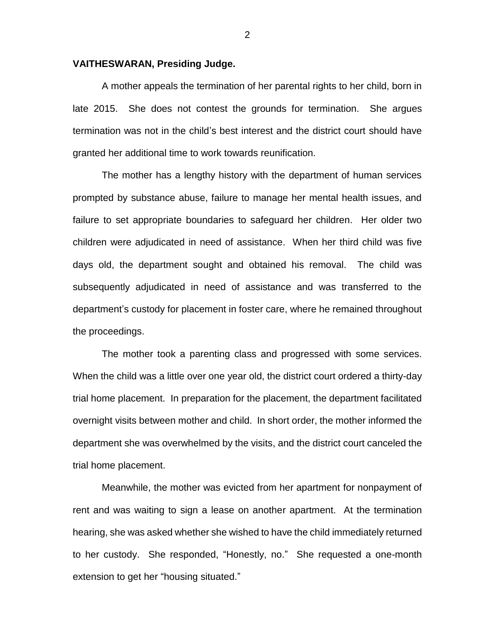## **VAITHESWARAN, Presiding Judge.**

A mother appeals the termination of her parental rights to her child, born in late 2015. She does not contest the grounds for termination. She argues termination was not in the child's best interest and the district court should have granted her additional time to work towards reunification.

The mother has a lengthy history with the department of human services prompted by substance abuse, failure to manage her mental health issues, and failure to set appropriate boundaries to safeguard her children. Her older two children were adjudicated in need of assistance. When her third child was five days old, the department sought and obtained his removal. The child was subsequently adjudicated in need of assistance and was transferred to the department's custody for placement in foster care, where he remained throughout the proceedings.

The mother took a parenting class and progressed with some services. When the child was a little over one year old, the district court ordered a thirty-day trial home placement. In preparation for the placement, the department facilitated overnight visits between mother and child. In short order, the mother informed the department she was overwhelmed by the visits, and the district court canceled the trial home placement.

Meanwhile, the mother was evicted from her apartment for nonpayment of rent and was waiting to sign a lease on another apartment. At the termination hearing, she was asked whether she wished to have the child immediately returned to her custody. She responded, "Honestly, no." She requested a one-month extension to get her "housing situated."

2